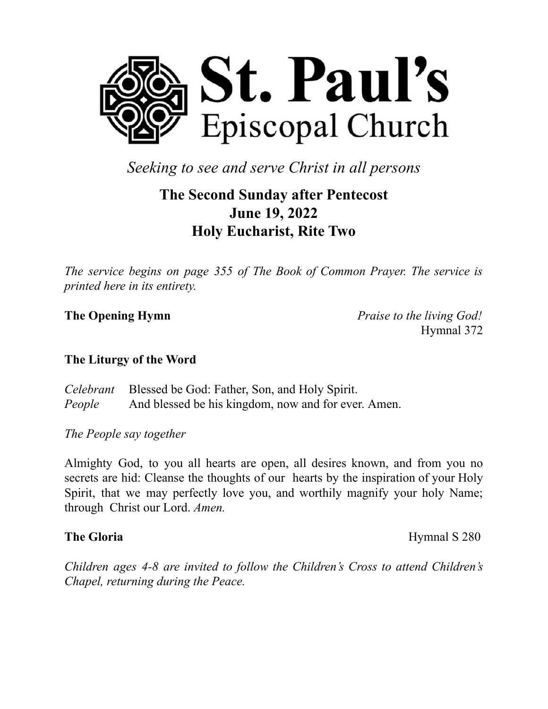

*Seeking to see and serve Christ in all persons*

# **The Second Sunday after Pentecost June 19, 2022 Holy Eucharist, Rite Two**

*The service begins on page 355 of The Book of Common Prayer. The service is printed here in its entirety.*

**The Opening Hymn** *Praise to the living God!* Hymnal 372

#### **The Liturgy of the Word**

*Celebrant* Blessed be God: Father, Son, and Holy Spirit. *People* And blessed be his kingdom, now and for ever. Amen.

*The People say together*

Almighty God, to you all hearts are open, all desires known, and from you no secrets are hid: Cleanse the thoughts of our hearts by the inspiration of your Holy Spirit, that we may perfectly love you, and worthily magnify your holy Name; through Christ our Lord. *Amen.*

**The Gloria** Hymnal S 280

*Children ages 4-8 are invited to follow the Children's Cross to attend Children's Chapel, returning during the Peace.*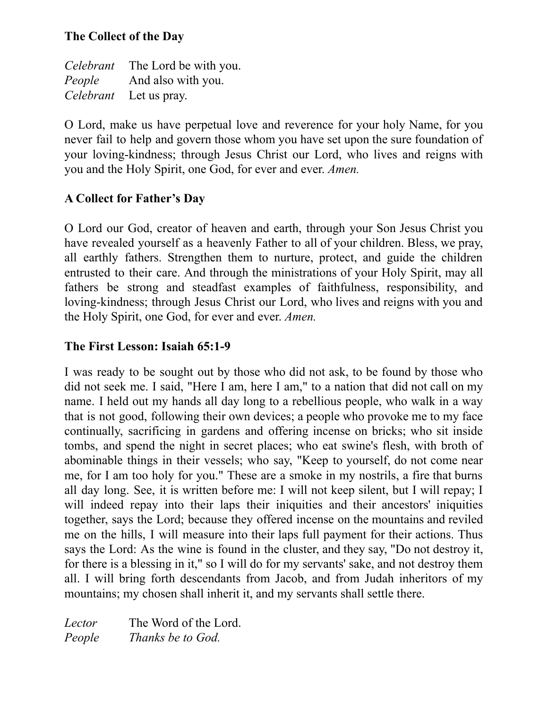## **The Collect of the Day**

*Celebrant* The Lord be with you. *People* And also with you. *Celebrant* Let us pray.

O Lord, make us have perpetual love and reverence for your holy Name, for you never fail to help and govern those whom you have set upon the sure foundation of your loving-kindness; through Jesus Christ our Lord, who lives and reigns with you and the Holy Spirit, one God, for ever and ever. *Amen.*

# **A Collect for Father's Day**

O Lord our God, creator of heaven and earth, through your Son Jesus Christ you have revealed yourself as a heavenly Father to all of your children. Bless, we pray, all earthly fathers. Strengthen them to nurture, protect, and guide the children entrusted to their care. And through the ministrations of your Holy Spirit, may all fathers be strong and steadfast examples of faithfulness, responsibility, and loving-kindness; through Jesus Christ our Lord, who lives and reigns with you and the Holy Spirit, one God, for ever and ever. *Amen.*

# **The First Lesson: Isaiah 65:1-9**

I was ready to be sought out by those who did not ask, to be found by those who did not seek me. I said, "Here I am, here I am," to a nation that did not call on my name. I held out my hands all day long to a rebellious people, who walk in a way that is not good, following their own devices; a people who provoke me to my face continually, sacrificing in gardens and offering incense on bricks; who sit inside tombs, and spend the night in secret places; who eat swine's flesh, with broth of abominable things in their vessels; who say, "Keep to yourself, do not come near me, for I am too holy for you." These are a smoke in my nostrils, a fire that burns all day long. See, it is written before me: I will not keep silent, but I will repay; I will indeed repay into their laps their iniquities and their ancestors' iniquities together, says the Lord; because they offered incense on the mountains and reviled me on the hills, I will measure into their laps full payment for their actions. Thus says the Lord: As the wine is found in the cluster, and they say, "Do not destroy it, for there is a blessing in it," so I will do for my servants' sake, and not destroy them all. I will bring forth descendants from Jacob, and from Judah inheritors of my mountains; my chosen shall inherit it, and my servants shall settle there.

| Lector | The Word of the Lord. |
|--------|-----------------------|
| People | Thanks be to God.     |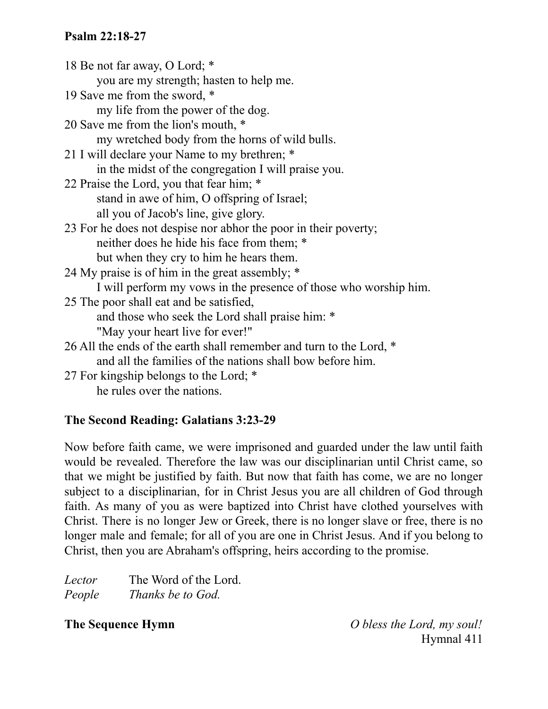#### **Psalm 22:18-27**

18 Be not far away, O Lord; \* you are my strength; hasten to help me. 19 Save me from the sword, \* my life from the power of the dog. 20 Save me from the lion's mouth, \* my wretched body from the horns of wild bulls. 21 I will declare your Name to my brethren; \* in the midst of the congregation I will praise you. 22 Praise the Lord, you that fear him; \* stand in awe of him, O offspring of Israel; all you of Jacob's line, give glory. 23 For he does not despise nor abhor the poor in their poverty; neither does he hide his face from them; \* but when they cry to him he hears them. 24 My praise is of him in the great assembly; \* I will perform my vows in the presence of those who worship him. 25 The poor shall eat and be satisfied, and those who seek the Lord shall praise him: \* "May your heart live for ever!" 26 All the ends of the earth shall remember and turn to the Lord, \* and all the families of the nations shall bow before him. 27 For kingship belongs to the Lord; \*

he rules over the nations.

### **The Second Reading: Galatians 3:23-29**

Now before faith came, we were imprisoned and guarded under the law until faith would be revealed. Therefore the law was our disciplinarian until Christ came, so that we might be justified by faith. But now that faith has come, we are no longer subject to a disciplinarian, for in Christ Jesus you are all children of God through faith. As many of you as were baptized into Christ have clothed yourselves with Christ. There is no longer Jew or Greek, there is no longer slave or free, there is no longer male and female; for all of you are one in Christ Jesus. And if you belong to Christ, then you are Abraham's offspring, heirs according to the promise.

| Lector | The Word of the Lord. |
|--------|-----------------------|
| People | Thanks be to God.     |

**The Sequence Hymn** *O bless the Lord, my soul!* Hymnal 411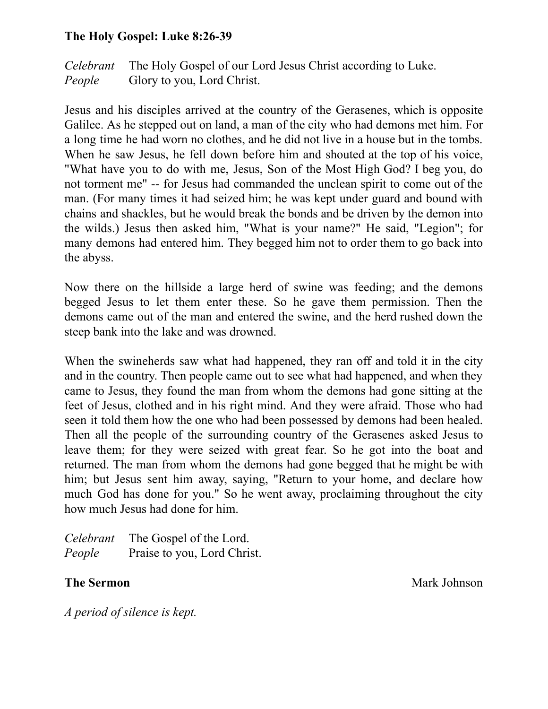### **The Holy Gospel: Luke 8:26-39**

*Celebrant* The Holy Gospel of our Lord Jesus Christ according to Luke. *People* Glory to you, Lord Christ.

Jesus and his disciples arrived at the country of the Gerasenes, which is opposite Galilee. As he stepped out on land, a man of the city who had demons met him. For a long time he had worn no clothes, and he did not live in a house but in the tombs. When he saw Jesus, he fell down before him and shouted at the top of his voice, "What have you to do with me, Jesus, Son of the Most High God? I beg you, do not torment me" -- for Jesus had commanded the unclean spirit to come out of the man. (For many times it had seized him; he was kept under guard and bound with chains and shackles, but he would break the bonds and be driven by the demon into the wilds.) Jesus then asked him, "What is your name?" He said, "Legion"; for many demons had entered him. They begged him not to order them to go back into the abyss.

Now there on the hillside a large herd of swine was feeding; and the demons begged Jesus to let them enter these. So he gave them permission. Then the demons came out of the man and entered the swine, and the herd rushed down the steep bank into the lake and was drowned.

When the swineherds saw what had happened, they ran off and told it in the city and in the country. Then people came out to see what had happened, and when they came to Jesus, they found the man from whom the demons had gone sitting at the feet of Jesus, clothed and in his right mind. And they were afraid. Those who had seen it told them how the one who had been possessed by demons had been healed. Then all the people of the surrounding country of the Gerasenes asked Jesus to leave them; for they were seized with great fear. So he got into the boat and returned. The man from whom the demons had gone begged that he might be with him; but Jesus sent him away, saying, "Return to your home, and declare how much God has done for you." So he went away, proclaiming throughout the city how much Jesus had done for him.

| Celebrant | The Gospel of the Lord.     |
|-----------|-----------------------------|
| People    | Praise to you, Lord Christ. |

**The Sermon** Mark Johnson

*A period of silence is kept.*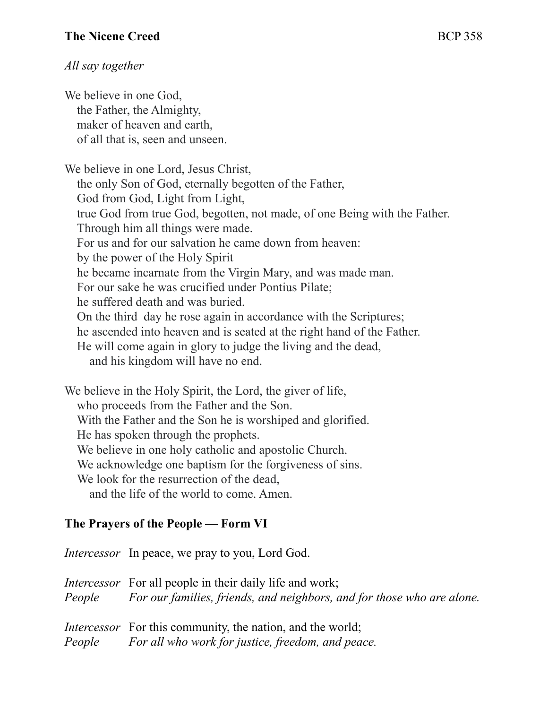#### *All say together*

We believe in one God. the Father, the Almighty, maker of heaven and earth, of all that is, seen and unseen.

We believe in one Lord, Jesus Christ, the only Son of God, eternally begotten of the Father, God from God, Light from Light, true God from true God, begotten, not made, of one Being with the Father. Through him all things were made. For us and for our salvation he came down from heaven: by the power of the Holy Spirit he became incarnate from the Virgin Mary, and was made man. For our sake he was crucified under Pontius Pilate; he suffered death and was buried. On the third day he rose again in accordance with the Scriptures; he ascended into heaven and is seated at the right hand of the Father. He will come again in glory to judge the living and the dead, and his kingdom will have no end.

We believe in the Holy Spirit, the Lord, the giver of life, who proceeds from the Father and the Son. With the Father and the Son he is worshiped and glorified. He has spoken through the prophets. We believe in one holy catholic and apostolic Church. We acknowledge one baptism for the forgiveness of sins. We look for the resurrection of the dead, and the life of the world to come. Amen.

### **The Prayers of the People — Form VI**

*Intercessor* In peace, we pray to you, Lord God.

| People | <i>Intercessor</i> For all people in their daily life and work;<br>For our families, friends, and neighbors, and for those who are alone. |
|--------|-------------------------------------------------------------------------------------------------------------------------------------------|
| People | <i>Intercessor</i> For this community, the nation, and the world;<br>For all who work for justice, freedom, and peace.                    |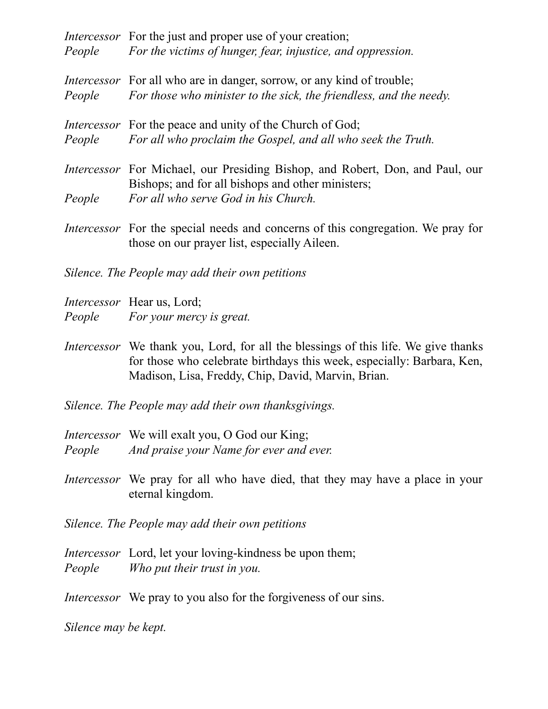| People                                               | <i>Intercessor</i> For the just and proper use of your creation;<br>For the victims of hunger, fear, injustice, and oppression.                                                                                           |
|------------------------------------------------------|---------------------------------------------------------------------------------------------------------------------------------------------------------------------------------------------------------------------------|
| People                                               | Intercessor For all who are in danger, sorrow, or any kind of trouble;<br>For those who minister to the sick, the friendless, and the needy.                                                                              |
| People                                               | <i>Intercessor</i> For the peace and unity of the Church of God;<br>For all who proclaim the Gospel, and all who seek the Truth.                                                                                          |
| People                                               | <i>Intercessor</i> For Michael, our Presiding Bishop, and Robert, Don, and Paul, our<br>Bishops; and for all bishops and other ministers;<br>For all who serve God in his Church.                                         |
|                                                      | <i>Intercessor</i> For the special needs and concerns of this congregation. We pray for<br>those on our prayer list, especially Aileen.                                                                                   |
| Silence. The People may add their own petitions      |                                                                                                                                                                                                                           |
| People                                               | <i>Intercessor</i> Hear us, Lord;<br>For your mercy is great.                                                                                                                                                             |
|                                                      | <i>Intercessor</i> We thank you, Lord, for all the blessings of this life. We give thanks<br>for those who celebrate birthdays this week, especially: Barbara, Ken,<br>Madison, Lisa, Freddy, Chip, David, Marvin, Brian. |
| Silence. The People may add their own thanksgivings. |                                                                                                                                                                                                                           |
| People                                               | <i>Intercessor</i> We will exalt you, O God our King;<br>And praise your Name for ever and ever.                                                                                                                          |
|                                                      | <i>Intercessor</i> We pray for all who have died, that they may have a place in your<br>eternal kingdom.                                                                                                                  |
|                                                      | Silence. The People may add their own petitions                                                                                                                                                                           |
|                                                      | Intercessor Lord, let your loving-kindness be upon them;                                                                                                                                                                  |

*People Who put their trust in you.*

*Intercessor* We pray to you also for the forgiveness of our sins.

*Silence may be kept.*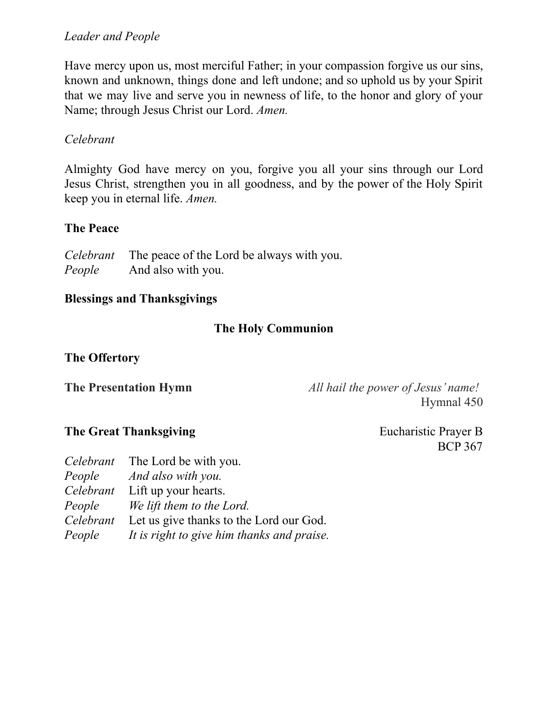### *Leader and People*

Have mercy upon us, most merciful Father; in your compassion forgive us our sins, known and unknown, things done and left undone; and so uphold us by your Spirit that we may live and serve you in newness of life, to the honor and glory of your Name; through Jesus Christ our Lord. *Amen.*

#### *Celebrant*

Almighty God have mercy on you, forgive you all your sins through our Lord Jesus Christ, strengthen you in all goodness, and by the power of the Holy Spirit keep you in eternal life. *Amen.*

#### **The Peace**

|        | <i>Celebrant</i> The peace of the Lord be always with you. |
|--------|------------------------------------------------------------|
| People | And also with you.                                         |

#### **Blessings and Thanksgivings**

## **The Holy Communion**

#### **The Offertory**

**The Presentation Hymn** *All hail the power of Jesus' name!* Hymnal 450

#### **The Great Thanksgiving** Eucharistic Prayer B

BCP 367

|           | <i>Celebrant</i> The Lord be with you.     |
|-----------|--------------------------------------------|
| People    | And also with you.                         |
|           | <i>Celebrant</i> Lift up your hearts.      |
| People    | We lift them to the Lord.                  |
| Celebrant | Let us give thanks to the Lord our God.    |
| People    | It is right to give him thanks and praise. |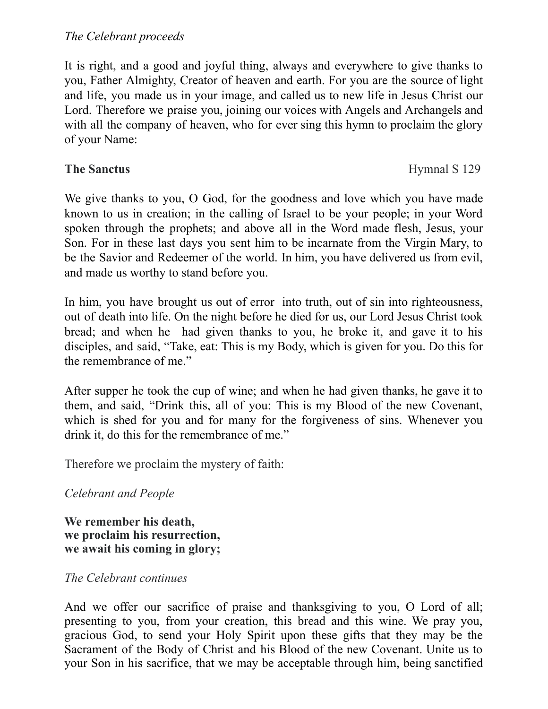#### *The Celebrant proceeds*

It is right, and a good and joyful thing, always and everywhere to give thanks to you, Father Almighty, Creator of heaven and earth. For you are the source of light and life, you made us in your image, and called us to new life in Jesus Christ our Lord. Therefore we praise you, joining our voices with Angels and Archangels and with all the company of heaven, who for ever sing this hymn to proclaim the glory of your Name:

## **The Sanctus** Hymnal S 129

We give thanks to you, O God, for the goodness and love which you have made known to us in creation; in the calling of Israel to be your people; in your Word spoken through the prophets; and above all in the Word made flesh, Jesus, your Son. For in these last days you sent him to be incarnate from the Virgin Mary, to be the Savior and Redeemer of the world. In him, you have delivered us from evil, and made us worthy to stand before you.

In him, you have brought us out of error into truth, out of sin into righteousness, out of death into life. On the night before he died for us, our Lord Jesus Christ took bread; and when he had given thanks to you, he broke it, and gave it to his disciples, and said, "Take, eat: This is my Body, which is given for you. Do this for the remembrance of me."

After supper he took the cup of wine; and when he had given thanks, he gave it to them, and said, "Drink this, all of you: This is my Blood of the new Covenant, which is shed for you and for many for the forgiveness of sins. Whenever you drink it, do this for the remembrance of me."

Therefore we proclaim the mystery of faith:

## *Celebrant and People*

**We remember his death, we proclaim his resurrection, we await his coming in glory;**

### *The Celebrant continues*

And we offer our sacrifice of praise and thanksgiving to you, O Lord of all; presenting to you, from your creation, this bread and this wine. We pray you, gracious God, to send your Holy Spirit upon these gifts that they may be the Sacrament of the Body of Christ and his Blood of the new Covenant. Unite us to your Son in his sacrifice, that we may be acceptable through him, being sanctified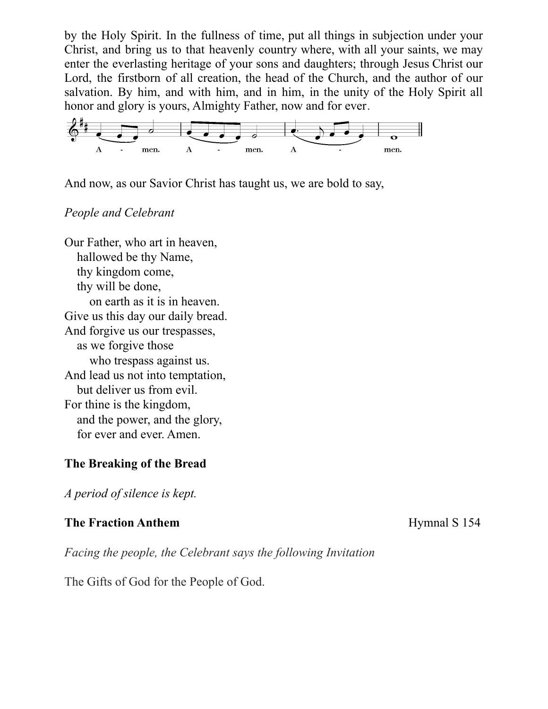by the Holy Spirit. In the fullness of time, put all things in subjection under your Christ, and bring us to that heavenly country where, with all your saints, we may enter the everlasting heritage of your sons and daughters; through Jesus Christ our Lord, the firstborn of all creation, the head of the Church, and the author of our salvation. By him, and with him, and in him, in the unity of the Holy Spirit all honor and glory is yours, Almighty Father, now and for ever.



And now, as our Savior Christ has taught us, we are bold to say,

### *People and Celebrant*

Our Father, who art in heaven, hallowed be thy Name, thy kingdom come, thy will be done, on earth as it is in heaven. Give us this day our daily bread. And forgive us our trespasses, as we forgive those who trespass against us. And lead us not into temptation, but deliver us from evil. For thine is the kingdom, and the power, and the glory, for ever and ever. Amen.

### **The Breaking of the Bread**

*A period of silence is kept.*

### **The Fraction Anthem** Hymnal S 154

*Facing the people, the Celebrant says the following Invitation*

The Gifts of God for the People of God.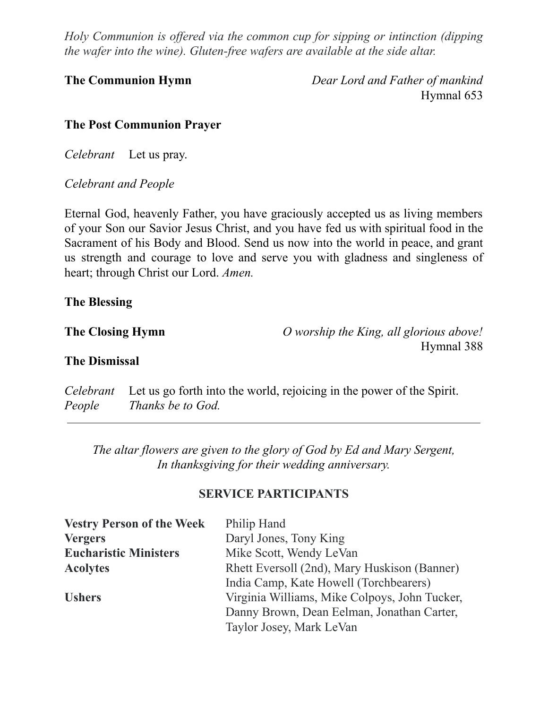*Holy Communion is of ered via the common cup for sipping or intinction (dipping the wafer into the wine). Gluten-free wafers are available at the side altar.*

**The Communion Hymn** *Dear Lord and Father of mankind* Hymnal 653

### **The Post Communion Prayer**

*Celebrant* Let us pray.

*Celebrant and People*

Eternal God, heavenly Father, you have graciously accepted us as living members of your Son our Savior Jesus Christ, and you have fed us with spiritual food in the Sacrament of his Body and Blood. Send us now into the world in peace, and grant us strength and courage to love and serve you with gladness and singleness of heart; through Christ our Lord. *Amen.*

**The Blessing**

**The Closing Hymn** *O worship the King, all glorious above!* Hymnal 388

**The Dismissal**

*Celebrant* Let us go forth into the world, rejoicing in the power of the Spirit. *People Thanks be to God.*

*The altar flowers are given to the glory of God by Ed and Mary Sergent, In thanksgiving for their wedding anniversary.*

## **SERVICE PARTICIPANTS**

| <b>Vestry Person of the Week</b> | Philip Hand                                   |
|----------------------------------|-----------------------------------------------|
| <b>Vergers</b>                   | Daryl Jones, Tony King                        |
| <b>Eucharistic Ministers</b>     | Mike Scott, Wendy LeVan                       |
| <b>Acolytes</b>                  | Rhett Eversoll (2nd), Mary Huskison (Banner)  |
|                                  | India Camp, Kate Howell (Torchbearers)        |
| <b>Ushers</b>                    | Virginia Williams, Mike Colpoys, John Tucker, |
|                                  | Danny Brown, Dean Eelman, Jonathan Carter,    |
|                                  | Taylor Josey, Mark LeVan                      |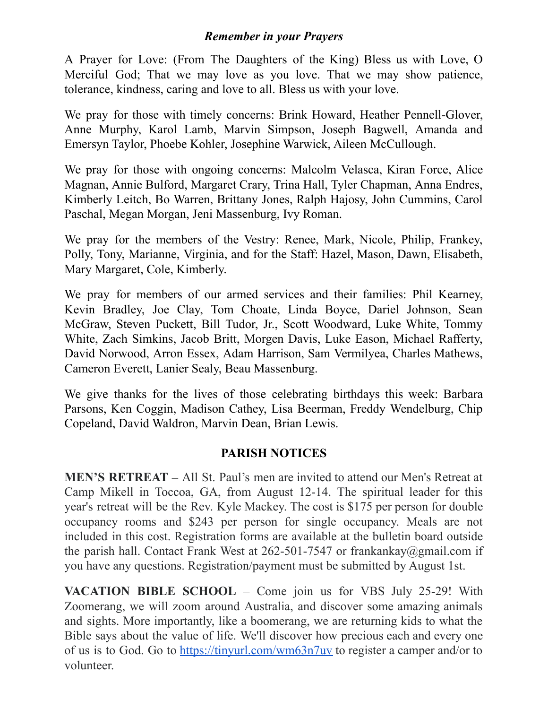#### *Remember in your Prayers*

A Prayer for Love: (From The Daughters of the King) Bless us with Love, O Merciful God; That we may love as you love. That we may show patience, tolerance, kindness, caring and love to all. Bless us with your love.

We pray for those with timely concerns: Brink Howard, Heather Pennell-Glover, Anne Murphy, Karol Lamb, Marvin Simpson, Joseph Bagwell, Amanda and Emersyn Taylor, Phoebe Kohler, Josephine Warwick, Aileen McCullough.

We pray for those with ongoing concerns: Malcolm Velasca, Kiran Force, Alice Magnan, Annie Bulford, Margaret Crary, Trina Hall, Tyler Chapman, Anna Endres, Kimberly Leitch, Bo Warren, Brittany Jones, Ralph Hajosy, John Cummins, Carol Paschal, Megan Morgan, Jeni Massenburg, Ivy Roman.

We pray for the members of the Vestry: Renee, Mark, Nicole, Philip, Frankey, Polly, Tony, Marianne, Virginia, and for the Staff: Hazel, Mason, Dawn, Elisabeth, Mary Margaret, Cole, Kimberly.

We pray for members of our armed services and their families: Phil Kearney, Kevin Bradley, Joe Clay, Tom Choate, Linda Boyce, Dariel Johnson, Sean McGraw, Steven Puckett, Bill Tudor, Jr., Scott Woodward, Luke White, Tommy White, Zach Simkins, Jacob Britt, Morgen Davis, Luke Eason, Michael Rafferty, David Norwood, Arron Essex, Adam Harrison, Sam Vermilyea, Charles Mathews, Cameron Everett, Lanier Sealy, Beau Massenburg.

We give thanks for the lives of those celebrating birthdays this week: Barbara Parsons, Ken Coggin, Madison Cathey, Lisa Beerman, Freddy Wendelburg, Chip Copeland, David Waldron, Marvin Dean, Brian Lewis.

### **PARISH NOTICES**

**MEN'S RETREAT –** All St. Paul's men are invited to attend our Men's Retreat at Camp Mikell in Toccoa, GA, from August 12-14. The spiritual leader for this year's retreat will be the Rev. Kyle Mackey. The cost is \$175 per person for double occupancy rooms and \$243 per person for single occupancy. Meals are not included in this cost. Registration forms are available at the bulletin board outside the parish hall. Contact Frank West at 262-501-7547 or frankankay@gmail.com if you have any questions. Registration/payment must be submitted by August 1st.

**VACATION BIBLE SCHOOL** – Come join us for VBS July 25-29! With Zoomerang, we will zoom around Australia, and discover some amazing animals and sights. More importantly, like a boomerang, we are returning kids to what the Bible says about the value of life. We'll discover how precious each and every one of us is to God. Go to <https://tinyurl.com/wm63n7uv> to register a camper and/or to volunteer.